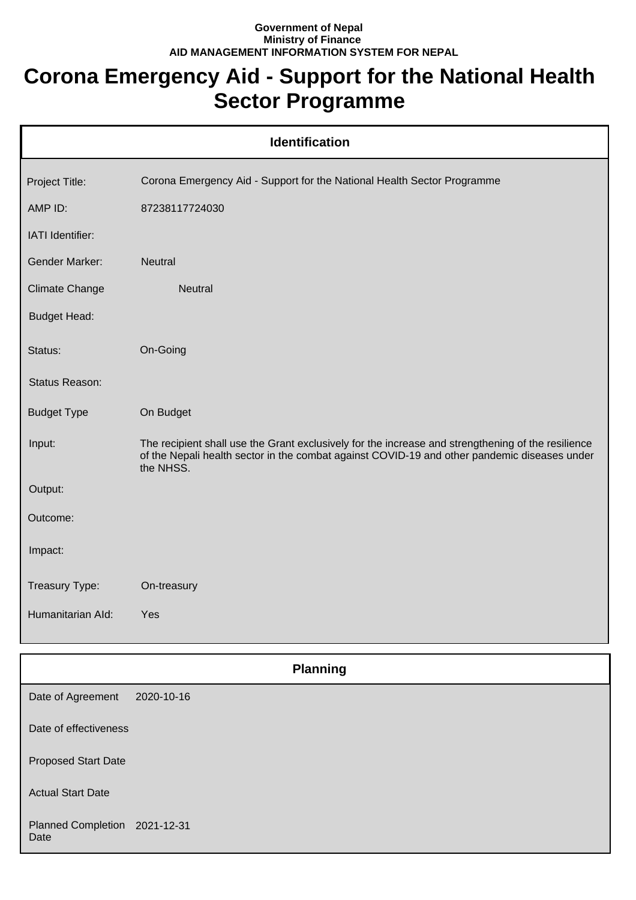## **Government of Nepal Ministry of Finance AID MANAGEMENT INFORMATION SYSTEM FOR NEPAL**

## **Corona Emergency Aid - Support for the National Health Sector Programme**

| <b>Identification</b> |                                                                                                                                                                                                                 |  |
|-----------------------|-----------------------------------------------------------------------------------------------------------------------------------------------------------------------------------------------------------------|--|
| Project Title:        | Corona Emergency Aid - Support for the National Health Sector Programme                                                                                                                                         |  |
| AMP ID:               | 87238117724030                                                                                                                                                                                                  |  |
| IATI Identifier:      |                                                                                                                                                                                                                 |  |
| <b>Gender Marker:</b> | Neutral                                                                                                                                                                                                         |  |
| Climate Change        | <b>Neutral</b>                                                                                                                                                                                                  |  |
| <b>Budget Head:</b>   |                                                                                                                                                                                                                 |  |
| Status:               | On-Going                                                                                                                                                                                                        |  |
| Status Reason:        |                                                                                                                                                                                                                 |  |
| <b>Budget Type</b>    | On Budget                                                                                                                                                                                                       |  |
| Input:                | The recipient shall use the Grant exclusively for the increase and strengthening of the resilience<br>of the Nepali health sector in the combat against COVID-19 and other pandemic diseases under<br>the NHSS. |  |
| Output:               |                                                                                                                                                                                                                 |  |
| Outcome:              |                                                                                                                                                                                                                 |  |
| Impact:               |                                                                                                                                                                                                                 |  |
| Treasury Type:        | On-treasury                                                                                                                                                                                                     |  |
| Humanitarian Ald:     | Yes                                                                                                                                                                                                             |  |

|                                       | <b>Planning</b> |  |
|---------------------------------------|-----------------|--|
| Date of Agreement                     | 2020-10-16      |  |
| Date of effectiveness                 |                 |  |
| <b>Proposed Start Date</b>            |                 |  |
| <b>Actual Start Date</b>              |                 |  |
| Planned Completion 2021-12-31<br>Date |                 |  |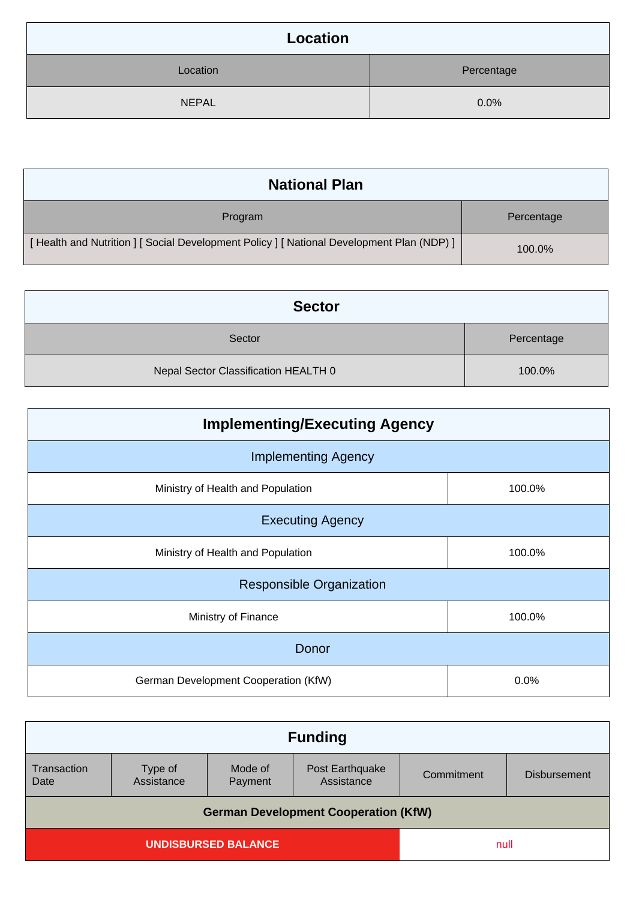| Location     |            |
|--------------|------------|
| Location     | Percentage |
| <b>NEPAL</b> | 0.0%       |

| <b>National Plan</b>                                                                    |            |
|-----------------------------------------------------------------------------------------|------------|
| Program                                                                                 | Percentage |
| [Health and Nutrition ] [Social Development Policy ] [National Development Plan (NDP) ] | 100.0%     |

| <b>Sector</b>                        |            |
|--------------------------------------|------------|
| Sector                               | Percentage |
| Nepal Sector Classification HEALTH 0 | 100.0%     |

| <b>Implementing/Executing Agency</b> |        |  |
|--------------------------------------|--------|--|
| <b>Implementing Agency</b>           |        |  |
| Ministry of Health and Population    | 100.0% |  |
| <b>Executing Agency</b>              |        |  |
| Ministry of Health and Population    | 100.0% |  |
| <b>Responsible Organization</b>      |        |  |
| Ministry of Finance                  | 100.0% |  |
| Donor                                |        |  |
| German Development Cooperation (KfW) | 0.0%   |  |

| <b>Funding</b>                              |                    |                               |            |                     |  |
|---------------------------------------------|--------------------|-------------------------------|------------|---------------------|--|
| Type of<br>Assistance                       | Mode of<br>Payment | Post Earthquake<br>Assistance | Commitment | <b>Disbursement</b> |  |
| <b>German Development Cooperation (KfW)</b> |                    |                               |            |                     |  |
| <b>UNDISBURSED BALANCE</b>                  |                    |                               |            |                     |  |
|                                             |                    |                               |            | null                |  |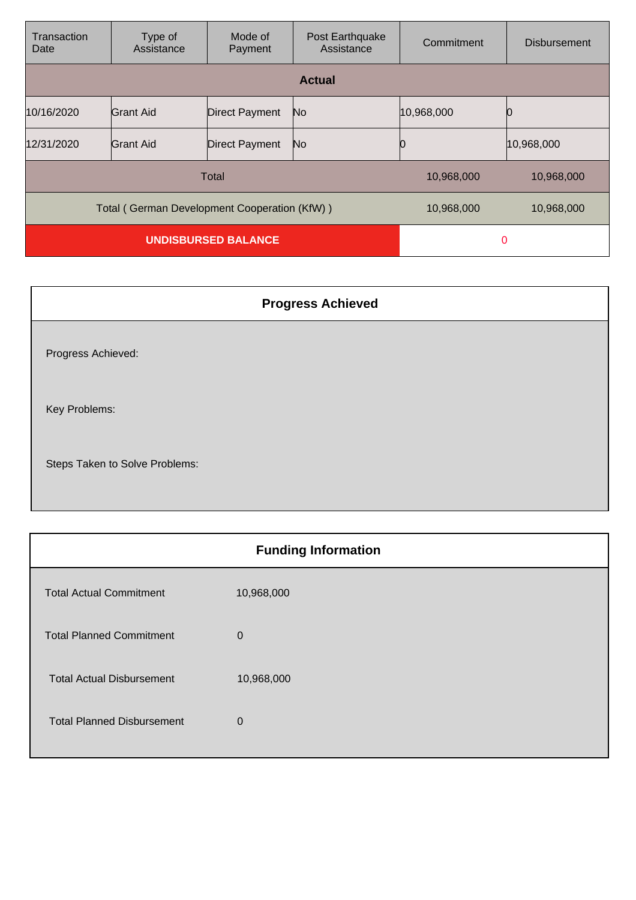| Transaction<br>Date                          | Type of<br>Assistance | Mode of<br>Payment    | Post Earthquake<br>Assistance | Commitment | <b>Disbursement</b> |
|----------------------------------------------|-----------------------|-----------------------|-------------------------------|------------|---------------------|
|                                              |                       |                       | <b>Actual</b>                 |            |                     |
| 10/16/2020                                   | <b>Grant Aid</b>      | <b>Direct Payment</b> | No                            | 10,968,000 |                     |
| 12/31/2020                                   | Grant Aid             | <b>Direct Payment</b> | No                            |            | 10,968,000          |
| Total                                        |                       |                       | 10,968,000                    | 10,968,000 |                     |
| Total (German Development Cooperation (KfW)) |                       |                       | 10,968,000                    | 10,968,000 |                     |
| <b>UNDISBURSED BALANCE</b>                   |                       |                       | 0                             |            |                     |

| <b>Progress Achieved</b>       |
|--------------------------------|
| Progress Achieved:             |
| Key Problems:                  |
| Steps Taken to Solve Problems: |

| <b>Funding Information</b> |  |  |
|----------------------------|--|--|
| 10,968,000                 |  |  |
| $\mathbf 0$                |  |  |
| 10,968,000                 |  |  |
| $\mathbf 0$                |  |  |
|                            |  |  |